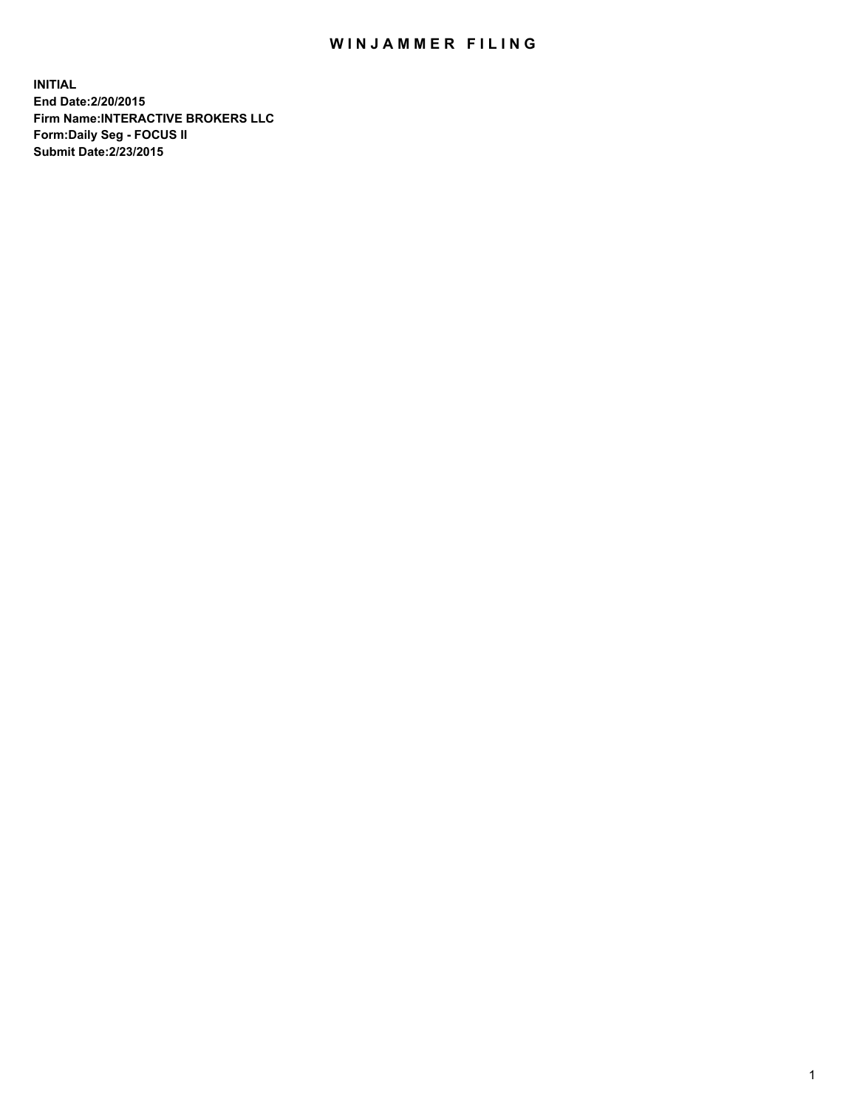## WIN JAMMER FILING

**INITIAL End Date:2/20/2015 Firm Name:INTERACTIVE BROKERS LLC Form:Daily Seg - FOCUS II Submit Date:2/23/2015**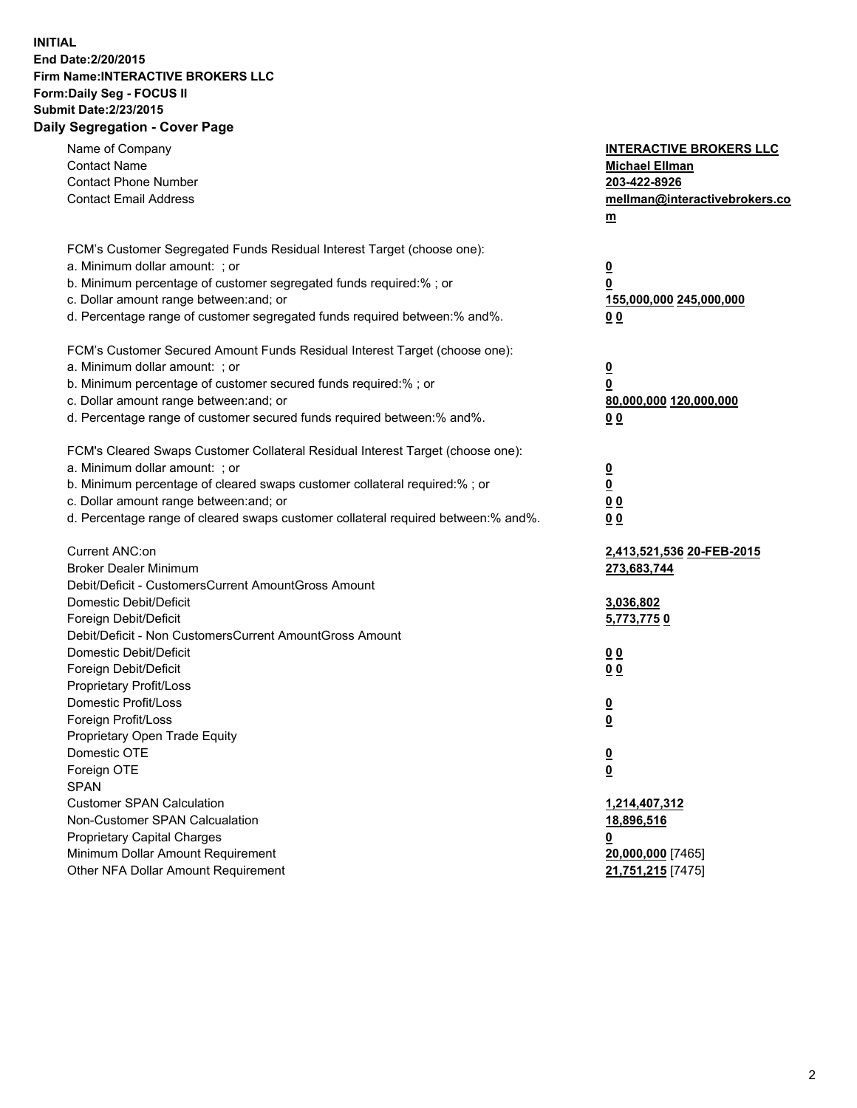## **INITIAL End Date:2/20/2015 Firm Name:INTERACTIVE BROKERS LLC Form:Daily Seg - FOCUS II Submit Date:2/23/2015 Daily Segregation - Cover Page**

| Name of Company<br><b>Contact Name</b><br><b>Contact Phone Number</b><br><b>Contact Email Address</b>                                                                                                                                                                                                                          | <b>INTERACTIVE BROKERS LLC</b><br><b>Michael Ellman</b><br>203-422-8926<br>mellman@interactivebrokers.co<br>m |
|--------------------------------------------------------------------------------------------------------------------------------------------------------------------------------------------------------------------------------------------------------------------------------------------------------------------------------|---------------------------------------------------------------------------------------------------------------|
| FCM's Customer Segregated Funds Residual Interest Target (choose one):<br>a. Minimum dollar amount: ; or<br>b. Minimum percentage of customer segregated funds required:% ; or<br>c. Dollar amount range between: and; or<br>d. Percentage range of customer segregated funds required between:% and%.                         | $\overline{\mathbf{0}}$<br>0<br>155,000,000 245,000,000<br>00                                                 |
| FCM's Customer Secured Amount Funds Residual Interest Target (choose one):<br>a. Minimum dollar amount: ; or<br>b. Minimum percentage of customer secured funds required:% ; or<br>c. Dollar amount range between: and; or<br>d. Percentage range of customer secured funds required between:% and%.                           | $\overline{\mathbf{0}}$<br>0<br>80,000,000 120,000,000<br>0 <sub>0</sub>                                      |
| FCM's Cleared Swaps Customer Collateral Residual Interest Target (choose one):<br>a. Minimum dollar amount: ; or<br>b. Minimum percentage of cleared swaps customer collateral required:% ; or<br>c. Dollar amount range between: and; or<br>d. Percentage range of cleared swaps customer collateral required between:% and%. | $\overline{\mathbf{0}}$<br><u>0</u><br>0 <sub>0</sub><br>0 <sub>0</sub>                                       |
| Current ANC:on<br><b>Broker Dealer Minimum</b><br>Debit/Deficit - CustomersCurrent AmountGross Amount<br>Domestic Debit/Deficit                                                                                                                                                                                                | 2,413,521,536 20-FEB-2015<br>273,683,744<br>3,036,802                                                         |
| Foreign Debit/Deficit<br>Debit/Deficit - Non CustomersCurrent AmountGross Amount<br>Domestic Debit/Deficit<br>Foreign Debit/Deficit<br>Proprietary Profit/Loss                                                                                                                                                                 | 5,773,7750<br>0 <sub>0</sub><br>0 <sub>0</sub>                                                                |
| Domestic Profit/Loss<br>Foreign Profit/Loss<br>Proprietary Open Trade Equity<br>Domestic OTE<br>Foreign OTE<br><b>SPAN</b>                                                                                                                                                                                                     | $\overline{\mathbf{0}}$<br>$\overline{\mathbf{0}}$<br>$\overline{\mathbf{0}}$<br><u>0</u>                     |
| <b>Customer SPAN Calculation</b><br>Non-Customer SPAN Calcualation<br><b>Proprietary Capital Charges</b><br>Minimum Dollar Amount Requirement<br>Other NFA Dollar Amount Requirement                                                                                                                                           | 1,214,407,312<br>18,896,516<br><u>0</u><br>20,000,000 [7465]<br>21,751,215 [7475]                             |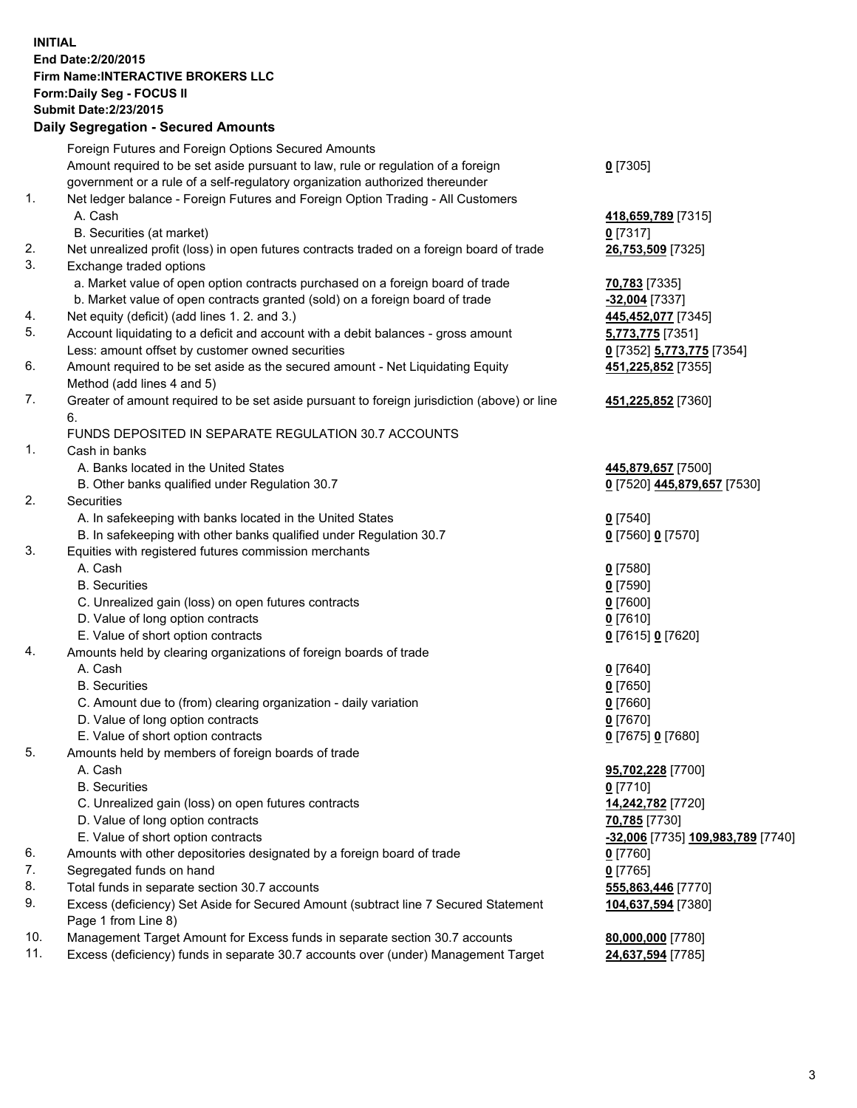## **INITIAL End Date:2/20/2015 Firm Name:INTERACTIVE BROKERS LLC Form:Daily Seg - FOCUS II Submit Date:2/23/2015 Daily Segregation - Secured Amounts**

|     | Daily Ocglegation - Occarea Anioants                                                                       |                                                |
|-----|------------------------------------------------------------------------------------------------------------|------------------------------------------------|
|     | Foreign Futures and Foreign Options Secured Amounts                                                        |                                                |
|     | Amount required to be set aside pursuant to law, rule or regulation of a foreign                           | $0$ [7305]                                     |
|     | government or a rule of a self-regulatory organization authorized thereunder                               |                                                |
| 1.  | Net ledger balance - Foreign Futures and Foreign Option Trading - All Customers                            |                                                |
|     | A. Cash                                                                                                    | 418,659,789 [7315]                             |
|     | B. Securities (at market)                                                                                  | $0$ [7317]                                     |
| 2.  | Net unrealized profit (loss) in open futures contracts traded on a foreign board of trade                  | 26,753,509 [7325]                              |
| 3.  | Exchange traded options                                                                                    |                                                |
|     | a. Market value of open option contracts purchased on a foreign board of trade                             | 70,783 [7335]                                  |
|     | b. Market value of open contracts granted (sold) on a foreign board of trade                               | $-32,004$ [7337]                               |
| 4.  | Net equity (deficit) (add lines 1. 2. and 3.)                                                              | 445,452,077 [7345]                             |
| 5.  | Account liquidating to a deficit and account with a debit balances - gross amount                          | 5,773,775 [7351]                               |
|     | Less: amount offset by customer owned securities                                                           | 0 [7352] 5,773,775 [7354]                      |
| 6.  | Amount required to be set aside as the secured amount - Net Liquidating Equity                             | 451,225,852 [7355]                             |
|     | Method (add lines 4 and 5)                                                                                 |                                                |
| 7.  | Greater of amount required to be set aside pursuant to foreign jurisdiction (above) or line                | 451,225,852 [7360]                             |
|     | 6.                                                                                                         |                                                |
|     | FUNDS DEPOSITED IN SEPARATE REGULATION 30.7 ACCOUNTS                                                       |                                                |
| 1.  | Cash in banks                                                                                              |                                                |
|     | A. Banks located in the United States                                                                      | 445,879,657 [7500]                             |
|     | B. Other banks qualified under Regulation 30.7                                                             | 0 [7520] 445,879,657 [7530]                    |
| 2.  | <b>Securities</b>                                                                                          |                                                |
|     | A. In safekeeping with banks located in the United States                                                  | $0$ [7540]                                     |
|     | B. In safekeeping with other banks qualified under Regulation 30.7                                         | 0 [7560] 0 [7570]                              |
| 3.  | Equities with registered futures commission merchants                                                      |                                                |
|     | A. Cash                                                                                                    | $0$ [7580]                                     |
|     | <b>B.</b> Securities                                                                                       | $0$ [7590]                                     |
|     | C. Unrealized gain (loss) on open futures contracts                                                        | $0$ [7600]                                     |
|     | D. Value of long option contracts                                                                          | $0$ [7610]                                     |
|     | E. Value of short option contracts                                                                         | 0 [7615] 0 [7620]                              |
| 4.  | Amounts held by clearing organizations of foreign boards of trade                                          |                                                |
|     | A. Cash                                                                                                    | $0$ [7640]                                     |
|     | <b>B.</b> Securities                                                                                       | $0$ [7650]                                     |
|     | C. Amount due to (from) clearing organization - daily variation                                            | $0$ [7660]                                     |
|     | D. Value of long option contracts                                                                          | $0$ [7670]                                     |
|     | E. Value of short option contracts                                                                         | 0 [7675] 0 [7680]                              |
| 5.  | Amounts held by members of foreign boards of trade                                                         |                                                |
|     | A. Cash                                                                                                    | 95,702,228 [7700]                              |
|     | <b>B.</b> Securities                                                                                       | $0$ [7710]                                     |
|     | C. Unrealized gain (loss) on open futures contracts                                                        | 14,242,782 [7720]                              |
|     | D. Value of long option contracts                                                                          | 70,785 [7730]                                  |
|     | E. Value of short option contracts                                                                         | <mark>-32,006</mark> [7735] 109,983,789 [7740] |
| 6.  | Amounts with other depositories designated by a foreign board of trade                                     | 0 [7760]                                       |
| 7.  | Segregated funds on hand                                                                                   | $0$ [7765]                                     |
| 8.  | Total funds in separate section 30.7 accounts                                                              | 555,863,446 [7770]                             |
| 9.  | Excess (deficiency) Set Aside for Secured Amount (subtract line 7 Secured Statement<br>Page 1 from Line 8) | 104,637,594 [7380]                             |
| 10. | Management Target Amount for Excess funds in separate section 30.7 accounts                                | 80,000,000 [7780]                              |
| 11. | Excess (deficiency) funds in separate 30.7 accounts over (under) Management Target                         | 24,637,594 [7785]                              |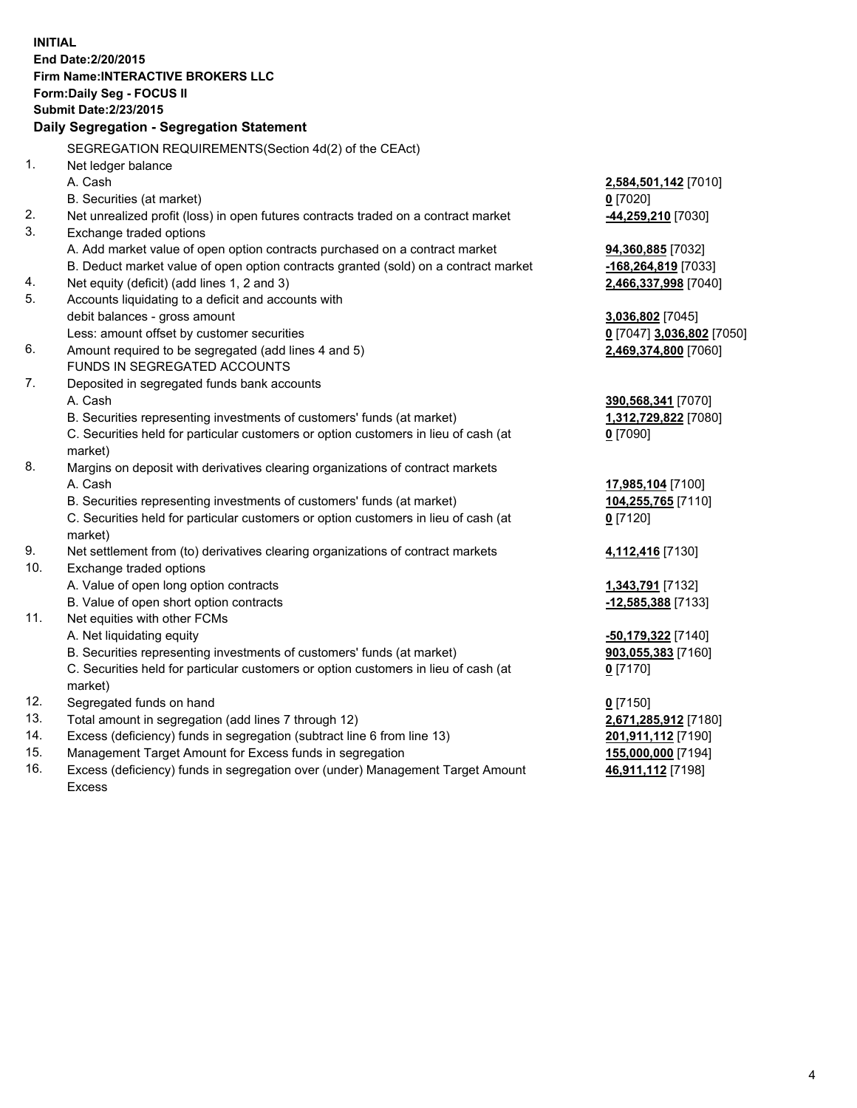**INITIAL End Date:2/20/2015 Firm Name:INTERACTIVE BROKERS LLC Form:Daily Seg - FOCUS II Submit Date:2/23/2015 Daily Segregation - Segregation Statement** SEGREGATION REQUIREMENTS(Section 4d(2) of the CEAct) 1. Net ledger balance A. Cash **2,584,501,142** [7010] B. Securities (at market) **0** [7020] 2. Net unrealized profit (loss) in open futures contracts traded on a contract market **-44,259,210** [7030] 3. Exchange traded options A. Add market value of open option contracts purchased on a contract market **94,360,885** [7032] B. Deduct market value of open option contracts granted (sold) on a contract market **-168,264,819** [7033] 4. Net equity (deficit) (add lines 1, 2 and 3) **2,466,337,998** [7040] 5. Accounts liquidating to a deficit and accounts with debit balances - gross amount **3,036,802** [7045] Less: amount offset by customer securities **0** [7047] **3,036,802** [7050] 6. Amount required to be segregated (add lines 4 and 5) **2,469,374,800** [7060] FUNDS IN SEGREGATED ACCOUNTS 7. Deposited in segregated funds bank accounts A. Cash **390,568,341** [7070] B. Securities representing investments of customers' funds (at market) **1,312,729,822** [7080] C. Securities held for particular customers or option customers in lieu of cash (at market) **0** [7090] 8. Margins on deposit with derivatives clearing organizations of contract markets A. Cash **17,985,104** [7100] B. Securities representing investments of customers' funds (at market) **104,255,765** [7110] C. Securities held for particular customers or option customers in lieu of cash (at market) **0** [7120] 9. Net settlement from (to) derivatives clearing organizations of contract markets **4,112,416** [7130] 10. Exchange traded options A. Value of open long option contracts **1,343,791** [7132] B. Value of open short option contracts **-12,585,388** [7133] 11. Net equities with other FCMs A. Net liquidating equity **-50,179,322** [7140] B. Securities representing investments of customers' funds (at market) **903,055,383** [7160] C. Securities held for particular customers or option customers in lieu of cash (at market) **0** [7170] 12. Segregated funds on hand **0** [7150] 13. Total amount in segregation (add lines 7 through 12) **2,671,285,912** [7180] 14. Excess (deficiency) funds in segregation (subtract line 6 from line 13) **201,911,112** [7190] 15. Management Target Amount for Excess funds in segregation **155,000,000** [7194]

16. Excess (deficiency) funds in segregation over (under) Management Target Amount Excess

**46,911,112** [7198]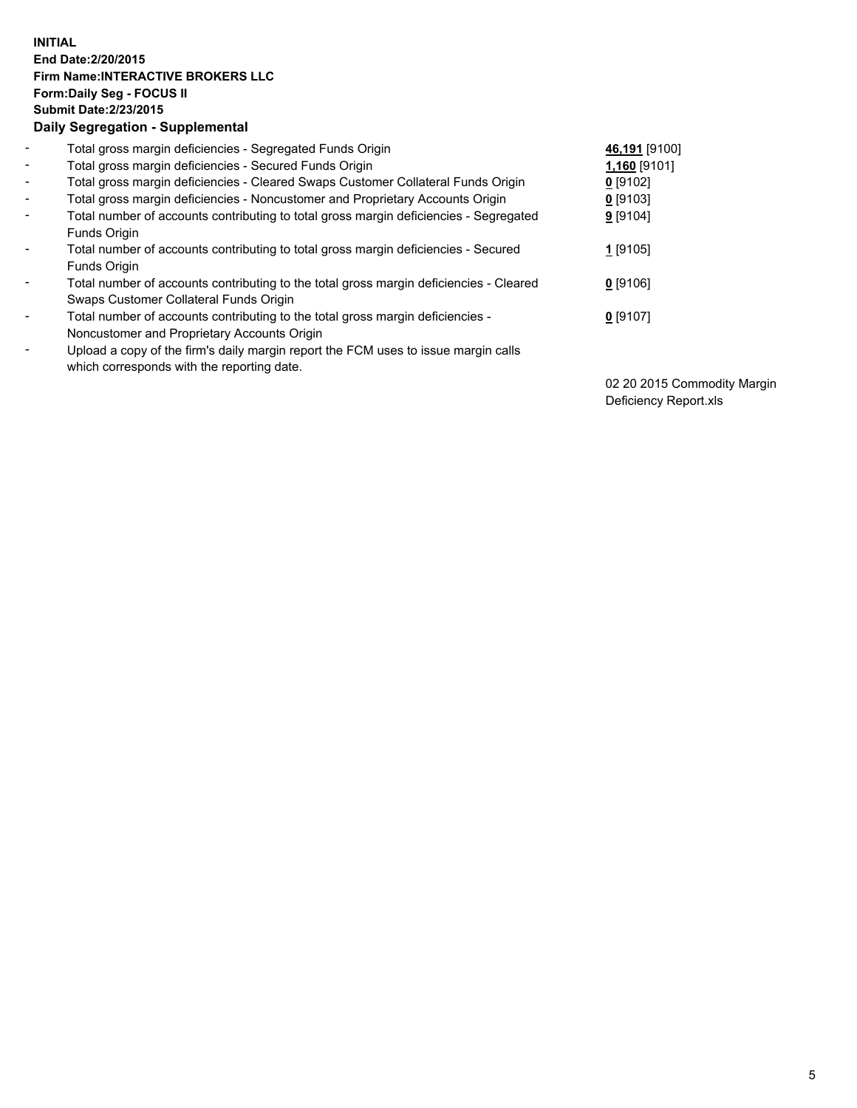## **INITIAL End Date:2/20/2015 Firm Name:INTERACTIVE BROKERS LLC Form:Daily Seg - FOCUS II Submit Date:2/23/2015 Daily Segregation - Supplemental**

| $\blacksquare$           | Total gross margin deficiencies - Segregated Funds Origin                              | 46,191 [9100] |
|--------------------------|----------------------------------------------------------------------------------------|---------------|
| $\blacksquare$           | Total gross margin deficiencies - Secured Funds Origin                                 | 1,160 [9101]  |
| $\blacksquare$           | Total gross margin deficiencies - Cleared Swaps Customer Collateral Funds Origin       | $0$ [9102]    |
| $\blacksquare$           | Total gross margin deficiencies - Noncustomer and Proprietary Accounts Origin          | $0$ [9103]    |
| $\blacksquare$           | Total number of accounts contributing to total gross margin deficiencies - Segregated  | $9$ [9104]    |
|                          | Funds Origin                                                                           |               |
| $\overline{\phantom{a}}$ | Total number of accounts contributing to total gross margin deficiencies - Secured     | 1 [9105]      |
|                          | Funds Origin                                                                           |               |
| -                        | Total number of accounts contributing to the total gross margin deficiencies - Cleared | $0$ [9106]    |
|                          | Swaps Customer Collateral Funds Origin                                                 |               |
| ۰                        | Total number of accounts contributing to the total gross margin deficiencies -         | $0$ [9107]    |
|                          | Noncustomer and Proprietary Accounts Origin                                            |               |
| $\overline{\phantom{a}}$ | Upload a copy of the firm's daily margin report the FCM uses to issue margin calls     |               |
|                          | which corresponds with the reporting date.                                             |               |

02 20 2015 Commodity Margin Deficiency Report.xls